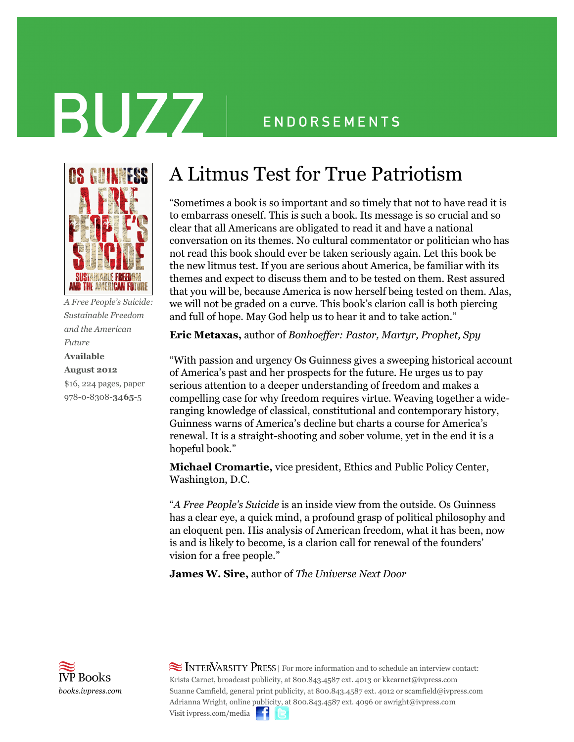# BUZZ

### **ENDORSEMENTS**



*A Free People's Suicide: Sustainable Freedom and the American Future* **Available August 2012** \$16, 224 pages, paper 978-0-8308-**3465**-5

### A Litmus Test for True Patriotism

"Sometimes a book is so important and so timely that not to have read it is to embarrass oneself. This is such a book. Its message is so crucial and so clear that all Americans are obligated to read it and have a national conversation on its themes. No cultural commentator or politician who has not read this book should ever be taken seriously again. Let this book be the new litmus test. If you are serious about America, be familiar with its themes and expect to discuss them and to be tested on them. Rest assured that you will be, because America is now herself being tested on them. Alas, we will not be graded on a curve. This book's clarion call is both piercing and full of hope. May God help us to hear it and to take action."

**Eric Metaxas,** author of *Bonhoeffer: Pastor, Martyr, Prophet, Spy*

"With passion and urgency Os Guinness gives a sweeping historical account of America's past and her prospects for the future. He urges us to pay serious attention to a deeper understanding of freedom and makes a compelling case for why freedom requires virtue. Weaving together a wideranging knowledge of classical, constitutional and contemporary history, Guinness warns of America's decline but charts a course for America's renewal. It is a straight-shooting and sober volume, yet in the end it is a hopeful book."

**Michael Cromartie,** vice president, Ethics and Public Policy Center, Washington, D.C.

"*A Free People's Suicide* is an inside view from the outside. Os Guinness has a clear eye, a quick mind, a profound grasp of political philosophy and an eloquent pen. His analysis of American freedom, what it has been, now is and is likely to become, is a clarion call for renewal of the founders' vision for a free people."

**James W. Sire,** author of *The Universe Next Door*



 $\approx$  INTERVARSITY PRESS | For more information and to schedule an interview contact: Krista Carnet, broadcast publicity, at 800.843.4587 ext. 4013 or kkcarnet@ivpress.com Suanne Camfield, general print publicity, at 800.843.4587 ext. 4012 or scamfield@ivpress.com Adrianna Wright, online publicity, at 800.843.4587 ext. 4096 or awright@ivpress.com Visit ivpress.com/media  $\blacksquare$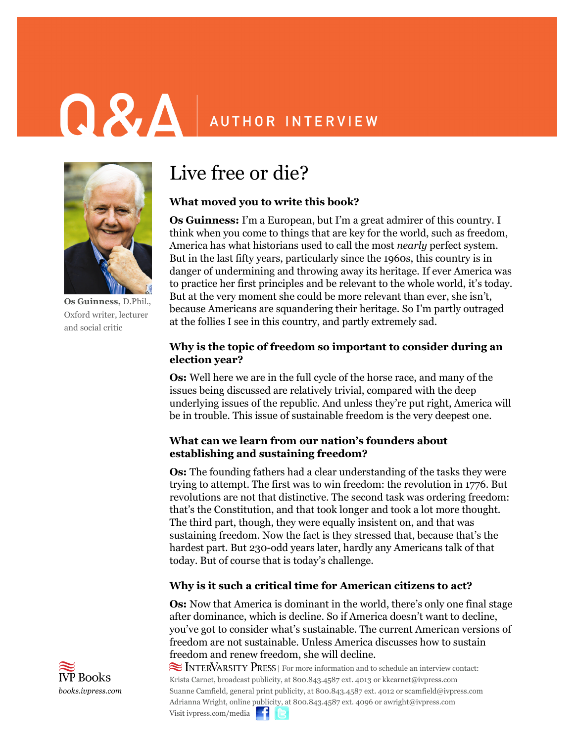## **Q & A** AUTHOR INTERVIEW



**Os Guinness,** D.Phil., Oxford writer, lecturer and social critic

### Live free or die?

#### **What moved you to write this book?**

**Os Guinness:** I'm a European, but I'm a great admirer of this country. I think when you come to things that are key for the world, such as freedom, America has what historians used to call the most *nearly* perfect system. But in the last fifty years, particularly since the 1960s, this country is in danger of undermining and throwing away its heritage. If ever America was to practice her first principles and be relevant to the whole world, it's today. But at the very moment she could be more relevant than ever, she isn't, because Americans are squandering their heritage. So I'm partly outraged at the follies I see in this country, and partly extremely sad.

#### **Why is the topic of freedom so important to consider during an election year?**

**Os:** Well here we are in the full cycle of the horse race, and many of the issues being discussed are relatively trivial, compared with the deep underlying issues of the republic. And unless they're put right, America will be in trouble. This issue of sustainable freedom is the very deepest one.

#### **What can we learn from our nation's founders about establishing and sustaining freedom?**

**Os:** The founding fathers had a clear understanding of the tasks they were trying to attempt. The first was to win freedom: the revolution in 1776. But revolutions are not that distinctive. The second task was ordering freedom: that's the Constitution, and that took longer and took a lot more thought. The third part, though, they were equally insistent on, and that was sustaining freedom. Now the fact is they stressed that, because that's the hardest part. But 230-odd years later, hardly any Americans talk of that today. But of course that is today's challenge.

#### **Why is it such a critical time for American citizens to act?**

**Os:** Now that America is dominant in the world, there's only one final stage after dominance, which is decline. So if America doesn't want to decline, you've got to consider what's sustainable. The current American versions of freedom are not sustainable. Unless America discusses how to sustain freedom and renew freedom, she will decline.

 $\approx$  INTERVARSITY PRESS | For more information and to schedule an interview contact: Krista Carnet, broadcast publicity, at 800.843.4587 ext. 4013 or kkcarnet@ivpress.com Suanne Camfield, general print publicity, at 800.843.4587 ext. 4012 or scamfield@ivpress.com Adrianna Wright, online publicity, at 800.843.4587 ext. 4096 or awright@ivpress.com Visit ivpress.com/media  $\blacksquare$ 

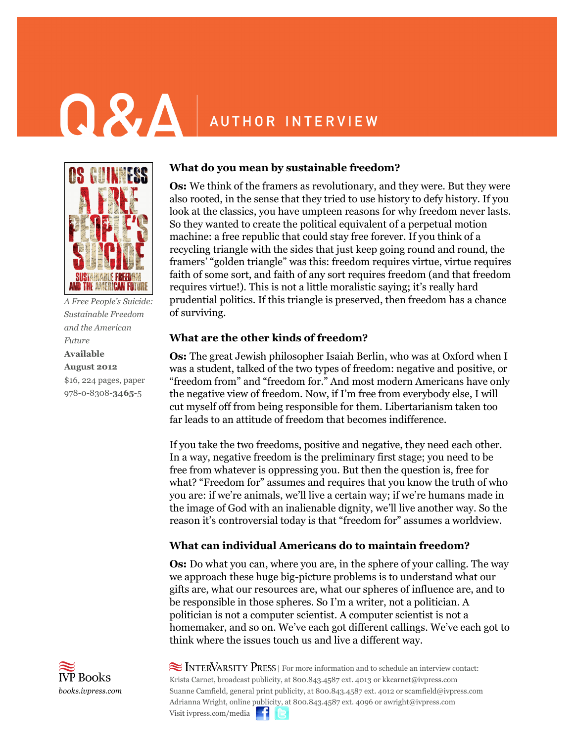## **Q & A** AUTHOR INTERVIEW



*A Free People's Suicide: Sustainable Freedom and the American Future* **Available August 2012** \$16, 224 pages, paper 978-0-8308-**3465**-5

#### **What do you mean by sustainable freedom?**

**Os:** We think of the framers as revolutionary, and they were. But they were also rooted, in the sense that they tried to use history to defy history. If you look at the classics, you have umpteen reasons for why freedom never lasts. So they wanted to create the political equivalent of a perpetual motion machine: a free republic that could stay free forever. If you think of a recycling triangle with the sides that just keep going round and round, the framers' "golden triangle" was this: freedom requires virtue, virtue requires faith of some sort, and faith of any sort requires freedom (and that freedom requires virtue!). This is not a little moralistic saying; it's really hard prudential politics. If this triangle is preserved, then freedom has a chance of surviving.

#### **What are the other kinds of freedom?**

**Os:** The great Jewish philosopher Isaiah Berlin, who was at Oxford when I was a student, talked of the two types of freedom: negative and positive, or "freedom from" and "freedom for." And most modern Americans have only the negative view of freedom. Now, if I'm free from everybody else, I will cut myself off from being responsible for them. Libertarianism taken too far leads to an attitude of freedom that becomes indifference.

If you take the two freedoms, positive and negative, they need each other. In a way, negative freedom is the preliminary first stage; you need to be free from whatever is oppressing you. But then the question is, free for what? "Freedom for" assumes and requires that you know the truth of who you are: if we're animals, we'll live a certain way; if we're humans made in the image of God with an inalienable dignity, we'll live another way. So the reason it's controversial today is that "freedom for" assumes a worldview.

#### **What can individual Americans do to maintain freedom?**

**Os:** Do what you can, where you are, in the sphere of your calling. The way we approach these huge big-picture problems is to understand what our gifts are, what our resources are, what our spheres of influence are, and to be responsible in those spheres. So I'm a writer, not a politician. A politician is not a computer scientist. A computer scientist is not a homemaker, and so on. We've each got different callings. We've each got to think where the issues touch us and live a different way.



 $\approx$  INTERVARSITY PRESS  $\mid$  For more information and to schedule an interview contact: Krista Carnet, broadcast publicity, at 800.843.4587 ext. 4013 or kkcarnet@ivpress.com Suanne Camfield, general print publicity, at 800.843.4587 ext. 4012 or scamfield@ivpress.com Adrianna Wright, online publicity, at 800.843.4587 ext. 4096 or awright@ivpress.com Visit ivpress.com/media  $\blacksquare$